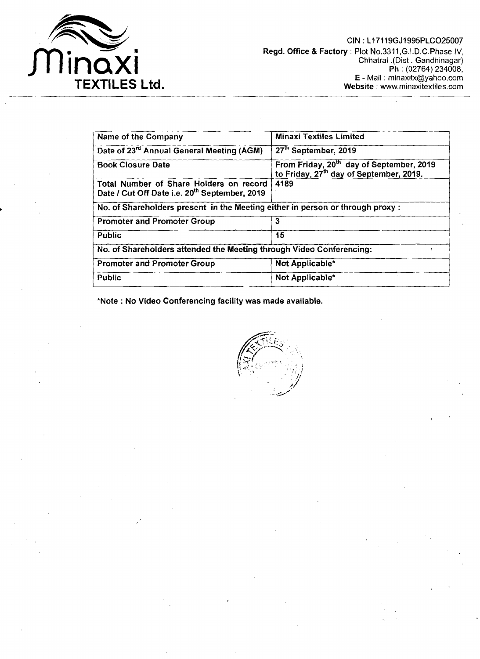

| Name of the Company                                                                                  | <b>Minaxi Textiles Limited</b>                                                                              |
|------------------------------------------------------------------------------------------------------|-------------------------------------------------------------------------------------------------------------|
| Date of 23rd Annual General Meeting (AGM)                                                            | 27 <sup>th</sup> September, 2019                                                                            |
| <b>Book Closure Date</b>                                                                             | From Friday, 20 <sup>th</sup> day of September, 2019<br>to Friday, 27 <sup>th</sup> day of September, 2019. |
| Total Number of Share Holders on record<br>Date / Cut Off Date i.e. 20 <sup>th</sup> September, 2019 | 4189                                                                                                        |
| No. of Shareholders present in the Meeting either in person or through proxy :                       |                                                                                                             |
| <b>Promoter and Promoter Group</b>                                                                   | 3                                                                                                           |
| <b>Public</b>                                                                                        | 15                                                                                                          |
| No. of Shareholders attended the Meeting through Video Conferencing:                                 |                                                                                                             |
| <b>Promoter and Promoter Group</b>                                                                   | Not Applicable*                                                                                             |
| Public                                                                                               | Not Applicable*                                                                                             |

\*Note : No Video Conferencing facility was made available.

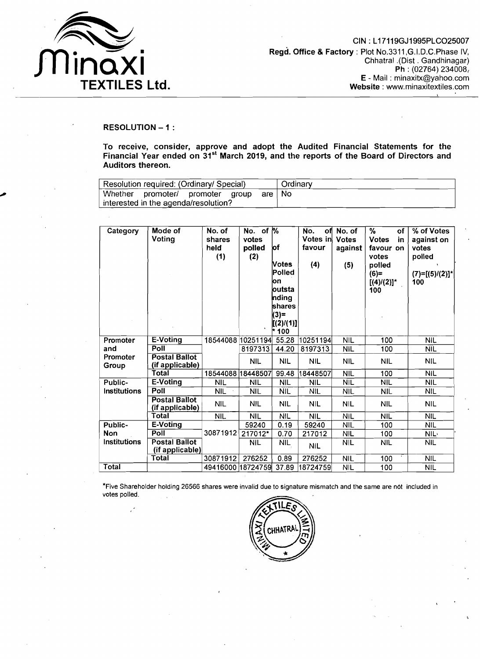

## RESOLUTION - 1 :

To receive, consider, approve and adopt the Audited Financial Statements for the Financial Year ended on 31<sup>st</sup> March 2019, and the reports of the Board of Directors and Auditors thereon.

| Resolution required: (Ordinary/ Special) | Ordinary |  |
|------------------------------------------|----------|--|
| Whether promoter/ promoter group         | are I No |  |
| interested in the agenda/resolution?     |          |  |

| Category          | Mode of<br>Voting                       | No. of<br>shares<br>held<br>(1) | No. of $\sqrt{6}$<br>votes<br>polled<br>(2) | ¦of<br>Votes<br>Polled<br>lon<br>loutsta<br>nding<br>shares<br>$(3) =$<br>[(2)/(1)]<br>* 100 | No.<br>оf<br>Votes in<br>favour<br>(4) | No. of<br><b>Votes</b><br>against<br>(5) | %<br>оf<br><b>Votes</b><br>in<br>favour on<br>votes<br>polled<br>$(6)=$<br>$[(4)/(2)]^*$<br>100 | % of Votes<br>against on<br>votes<br>polled<br>$(7)=[(5)/(2)]^*$<br>100 |
|-------------------|-----------------------------------------|---------------------------------|---------------------------------------------|----------------------------------------------------------------------------------------------|----------------------------------------|------------------------------------------|-------------------------------------------------------------------------------------------------|-------------------------------------------------------------------------|
| Promoter          | E-Voting                                | 18544088 10251194               |                                             | 55.28                                                                                        | 10251194                               | <b>NIL</b>                               | $\overline{100}$                                                                                | <b>NIL</b>                                                              |
| and               | Poll                                    |                                 | 8197313                                     | 44.20                                                                                        | 8197313                                | <b>NIL</b>                               | 100                                                                                             | <b>NIL</b>                                                              |
| Promoter<br>Group | Postal Ballot<br>(if applicable)        |                                 | <b>NIL</b>                                  | <b>NIL</b>                                                                                   | <b>NIL</b>                             | <b>NIL</b>                               | <b>NIL</b>                                                                                      | <b>NIL</b>                                                              |
|                   | <b>Total</b>                            | 18544088 18448507               |                                             | 99.48                                                                                        | 18448507                               | $\overline{\text{NIL}}$                  | 100                                                                                             | <b>NIL</b>                                                              |
| Public-           | E-Voting                                | <b>NIL</b>                      | <b>NIL</b>                                  | <b>NIL</b>                                                                                   | <b>NIL</b>                             | NIL                                      | <b>NIL</b>                                                                                      | <b>NIL</b>                                                              |
| Institutions      | Poll                                    | <b>NIL</b>                      | <b>NIL</b>                                  | <b>NIL</b>                                                                                   | <b>NIL</b>                             | NIL                                      | NIL                                                                                             | NIL                                                                     |
|                   | <b>Postal Ballot</b><br>(if applicable) | <b>NIL</b>                      | <b>NIL</b>                                  | NIL.                                                                                         | <b>NIL</b>                             | <b>NIL</b>                               | <b>NIL</b>                                                                                      | <b>NIL</b>                                                              |
|                   | <b>Total</b>                            | <b>NIL</b>                      | <b>NIL</b>                                  | <b>NIL</b>                                                                                   | <b>NIL</b>                             | <b>NIL</b>                               | <b>NIL</b>                                                                                      | <b>NIL</b>                                                              |
| Public-           | E-Voting                                |                                 | 59240                                       | 0.19                                                                                         | 59240                                  | <b>NIL</b>                               | 100                                                                                             | <b>NIL</b>                                                              |
| <b>Non</b>        | Poll                                    | 30871912                        | 217012*                                     | 0.70                                                                                         | 217012                                 | <b>NIL</b>                               | 100                                                                                             | NIL·                                                                    |
| Institutions      | <b>Postal Ballot</b><br>(if applicable) |                                 | <b>NIL</b>                                  | NIL                                                                                          | <b>NIL</b>                             | <b>NIL</b>                               | <b>NIL</b>                                                                                      | <b>NIL</b>                                                              |
|                   | Total                                   | 30871912                        | 276252                                      | 0.89                                                                                         | 276252                                 | <b>NIL</b>                               | 100                                                                                             | <b>NIL</b>                                                              |
| <b>Total</b>      |                                         | 49416000 18724759               |                                             | 37.89                                                                                        | 18724759                               | <b>NIL</b>                               | 100                                                                                             | <b>NIL</b>                                                              |

\*Five Shareholder holding 26566 shares were invalid due to signature mismatch and the same are n6t included in votes polled.

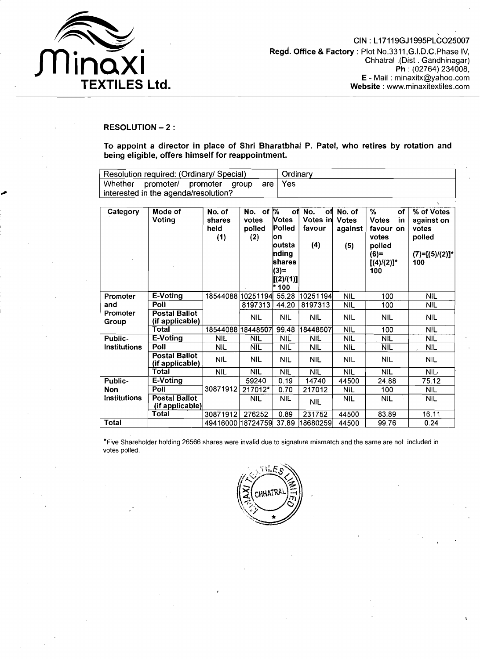

## **RESOLUTION** - **2** :

**To appoint a director in place of Shri Bharatbhai P. Patel, who retires by rotation and being eligible, offers himself for reappointment.** 

| Resolution required: (Ordinary/ Special) | Ordinary |            |
|------------------------------------------|----------|------------|
| Whether promoter/ promoter group         | are l    | <b>Yes</b> |
| interested in the agenda/resolution?     |          |            |

| Category            | Mode of                                 | No. of            | No. of $\sqrt{2}$ | оfі             | No.<br>оfі | No. of       | %<br>οf              | % of Votes        |
|---------------------|-----------------------------------------|-------------------|-------------------|-----------------|------------|--------------|----------------------|-------------------|
|                     | Voting                                  | shares            | votes             | <b>Notes</b>    | Votes in   | <b>Votes</b> | <b>Votes</b><br>in   | against on        |
|                     |                                         | held              | polled            | Polled          | favour     | against      | favour on            | votes             |
|                     |                                         | (1)               | (2)               | lon             |            |              | votes                | polled            |
|                     |                                         |                   |                   | loutsta         | (4)        | (5)          | polled               |                   |
|                     |                                         |                   |                   | nding<br>shares |            |              | $(6)=$               | $(7)=[(5)/(2)]^*$ |
|                     |                                         |                   |                   | $(3) =$         |            |              | $[(4)/(2)]^*$<br>100 | 100               |
|                     |                                         |                   |                   | [(2)/(1)]       |            |              |                      |                   |
|                     |                                         |                   |                   | * 100           |            |              |                      |                   |
| Promoter            | E-Voting                                | 18544088 10251194 |                   | 55.28           | 10251194   | <b>NIL</b>   | 100                  | NIL               |
| and                 | Poll                                    |                   | 8197313           | 44.20           | 8197313    | <b>NIL</b>   | 100                  | <b>NIL</b>        |
| Promoter            | <b>Postal Ballot</b>                    |                   | NIL               | ŃIL             | <b>NIL</b> | <b>NIL</b>   | <b>NIL</b>           | <b>NIL</b>        |
| Group               | (if applicable)                         |                   |                   |                 |            |              |                      |                   |
|                     | Total                                   | 18544088 18448507 |                   | 99.48           | 18448507   | <b>NIL</b>   | 100                  | <b>NIL</b>        |
| Public-             | E-Voting                                | NIL.              | NIL               | <b>NIL</b>      | NIL        | <b>NIL</b>   | NIL                  | <b>NIL</b>        |
| Institutions        | Poll                                    | <b>NIL</b>        | <b>NIL</b>        | <b>NIL</b>      | <b>NIL</b> | <b>NIL</b>   | <b>NIL</b>           | <b>NIL</b>        |
|                     | <b>Postal Ballot</b><br>(if applicable) | <b>NIL</b>        | <b>NIL</b>        | <b>NIL</b>      | <b>NIL</b> | <b>NIL</b>   | <b>NIL</b>           | <b>NIL</b>        |
|                     | Total                                   | NIL.              | <b>NIL</b>        | <b>NIL</b>      | NIL        | <b>NIL</b>   | <b>NIL</b>           | NIL.              |
| Public-             | E-Voting                                |                   | 59240             | 0.19            | 14740      | 44500        | 24.88                | 75.12             |
| <b>Non</b>          | Poll                                    | 30871912          | 217012*           | 0.70            | 217012     | <b>NIL</b>   | 100                  | <b>NIL</b>        |
| <b>Institutions</b> | <b>Postal Ballot</b>                    |                   | <b>NIL</b>        | <b>NIL</b>      | <b>NIL</b> | <b>NIL</b>   | <b>NIL</b>           | <b>NIL</b>        |
|                     | (if applicable)                         |                   |                   |                 |            |              |                      |                   |
|                     | Total                                   | 30871912          | 276252            | 0.89            | 231752     | 44500        | 83.89                | 16.11             |
| Total               |                                         | 49416000 18724759 |                   | 37.89           | 18680259   | 44500        | 99.76                | 0.24              |

\*Five Shareholder holding 26566 shares were invalid due to signature mismatch and the same are not included in votes polled.

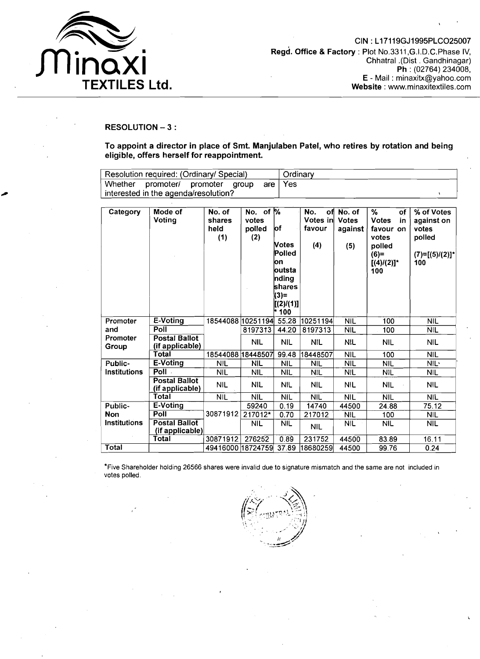

# **RESOLUTION** - **3** :

**To appoint a director in place of Smt. Manjulaben Patel, who retires by rotation and being eligible, offers herself for reappointment.** 

| Resolution required: (Ordinary/ Special) | Ordinary |     |  |
|------------------------------------------|----------|-----|--|
| Whether promoter/ promoter group         | are l    | Yes |  |
| interested in the agenda/resolution?     |          |     |  |

| Category            | Mode of<br>Votina                       | No. of<br>shares<br>held<br>(1) | No. of $\%$<br>votes<br>polled<br>(2) | lof<br>Votes<br>Polled<br>lon<br>loutsta<br>nding<br>shares<br>$(3) =$<br>[(2) / (1)]<br>* 100 | оfі<br>No.<br>Votes in<br>favour<br>(4) | No. of<br><b>Votes</b><br>against<br>(5) | %<br>of<br><b>Votes</b><br>in<br>favour<br>on<br>votes<br>polled<br>$(6)=$<br>$[(4)/(2)]^*$<br>100 | % of Votes<br>against on<br>votes<br>polled<br>$(7)=[(5)/(2)]^*$<br>100 |
|---------------------|-----------------------------------------|---------------------------------|---------------------------------------|------------------------------------------------------------------------------------------------|-----------------------------------------|------------------------------------------|----------------------------------------------------------------------------------------------------|-------------------------------------------------------------------------|
| Promoter            | E-Voting                                | 18544088 10251194               |                                       | 55.28                                                                                          | 10251194                                | <b>NIL</b>                               | 100                                                                                                | <b>NIL</b>                                                              |
| and                 | Poll                                    |                                 | 8197313                               | 44.20                                                                                          | 8197313                                 | <b>NIL</b>                               | 100                                                                                                | <b>NIL</b>                                                              |
| Promoter<br>Group   | <b>Postal Ballot</b><br>(if applicable) |                                 | <b>NIL</b>                            | NIL                                                                                            | <b>NIL</b>                              | NIL                                      | <b>NIL</b>                                                                                         | <b>NIL</b>                                                              |
|                     | Total                                   | 18544088 18448507               |                                       | 99.48                                                                                          | 18448507                                | <b>NIL</b>                               | 100                                                                                                | <b>NIL</b>                                                              |
| Public-             | E-Voting                                | <b>NIL</b>                      | <b>NIL</b>                            | <b>NIL</b>                                                                                     | NIL                                     | <b>NIL</b>                               | <b>NIL</b>                                                                                         | NIL <sup>®</sup>                                                        |
| Institutions        | Poll -                                  | <b>NIL</b>                      | <b>NIL</b>                            | <b>NIL</b>                                                                                     | <b>NIL</b>                              | <b>NIL</b>                               | <b>NIL</b>                                                                                         | <b>NIL</b>                                                              |
|                     | <b>Postal Ballot</b><br>(if applicable) | <b>NIL</b>                      | <b>NIL</b>                            | NIL                                                                                            | <b>NIL</b>                              | <b>NIL</b>                               | <b>NIL</b>                                                                                         | <b>NIL</b>                                                              |
|                     | Total                                   | <b>NIL</b>                      | NIL                                   | <b>NIL</b>                                                                                     | <b>NIL</b>                              | <b>NIL</b>                               | <b>NIL</b>                                                                                         | <b>NIL</b>                                                              |
| Public-             | E-Voting                                |                                 | 59240                                 | 0.19                                                                                           | 14740                                   | 44500                                    | 24.88                                                                                              | 75.12                                                                   |
| Non                 | Poll                                    | 30871912                        | 217012*                               | 0.70                                                                                           | 217012                                  | <b>NIL</b>                               | 100                                                                                                | <b>NIL</b>                                                              |
| <b>Institutions</b> | <b>Postal Ballot</b><br>(if applicable) |                                 | <b>NIL</b>                            | <b>NIL</b>                                                                                     | <b>NIL</b>                              | <b>NIL</b>                               | <b>NIL</b>                                                                                         | <b>NIL</b>                                                              |
|                     | Total                                   | 30871912                        | 276252                                | 0.89                                                                                           | 231752                                  | 44500                                    | 83.89                                                                                              | 16.11                                                                   |
| Total               |                                         | 49416000 18724759               |                                       | 37.89                                                                                          | 18680259                                | 44500                                    | 99.76                                                                                              | 0.24                                                                    |

\*Five Shareholder holding 26566 shares were invalid due to signature mismatch and the same are not included in votes polled.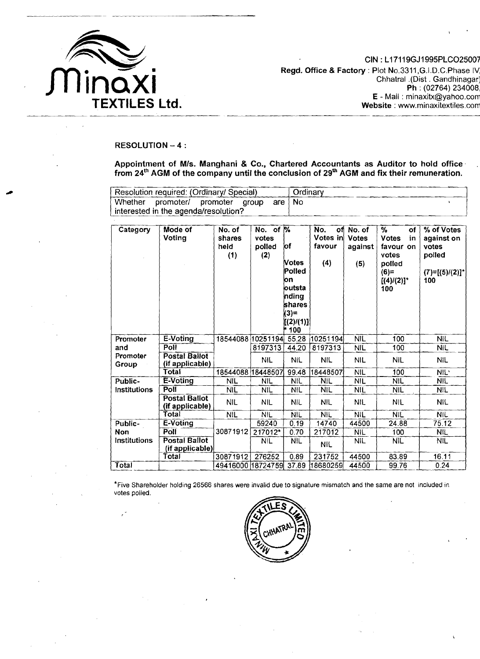

CIN : L17119GJ1995PLC025007 **Regd. Office & Factory : Plot No.3311, G.I.D.C. Phase IV** Chhatral .(Dist . Gandhinagar: **Ph** : (02764) 234008, **E** - Mail : minaxitx@yahoo.corr **Website** : www.minaxitextiles.corr

#### **RESOLUTION** - **4** :

**Appointment of Mls. Manghani** & **Co., Chartered Accountants as Auditor to hold office**  from 24<sup>th</sup> AGM of the company until the conclusion of 29<sup>th</sup> AGM and fix their remuneration.

| Resolution required: (Ordinary/ Special) |                                         |  |  |  | Ordinary |  |
|------------------------------------------|-----------------------------------------|--|--|--|----------|--|
|                                          | Whether promoter/ promoter group are No |  |  |  |          |  |
|                                          | interested in the agenda/resolution?    |  |  |  |          |  |

| Category          | Mode of<br>Voting                       | No. of<br>shares<br>held<br>(1) | No. of %<br>votes<br>polled<br>(2) | lof<br>Votes<br>Polled<br>lon<br>loutsta<br>nding<br>shares<br>$(3)=$<br>[(2)/(1)]<br>100 ۴ | No.<br>Votes in<br>favour<br>(4) | of No. of<br><b>Votes</b><br>against<br>(5) | %<br>of<br><b>Votes</b><br>in<br>favour on<br>votes<br>polled<br>$(6)=$<br>$[(4)/(2)]$ <sup>*</sup><br>100 | % of Votes<br>against on<br>votes<br>polled<br>$(7)=[(5)/(2)]^*$<br>100 |
|-------------------|-----------------------------------------|---------------------------------|------------------------------------|---------------------------------------------------------------------------------------------|----------------------------------|---------------------------------------------|------------------------------------------------------------------------------------------------------------|-------------------------------------------------------------------------|
| Promoter          | E-Voting                                | 18544088 10251194 55.28         |                                    |                                                                                             | 10251194                         | <b>NIL</b>                                  | 100                                                                                                        | <b>NIL</b>                                                              |
| and               | <b>Poll</b>                             |                                 | 8197313                            | 44.20                                                                                       | 8197313                          | <b>NIL</b>                                  | 100                                                                                                        | <b>NIL</b>                                                              |
| Promoter<br>Group | <b>Postal Ballot</b><br>(if applicable) |                                 | <b>NIL</b>                         | <b>NIL</b>                                                                                  | <b>NIL</b>                       | <b>NIL</b>                                  | <b>NIL</b>                                                                                                 | <b>NIL</b>                                                              |
|                   | <b>Total</b>                            | 18544088 18448507               |                                    | 99.48                                                                                       | 18448507                         | <b>NIL</b>                                  | 100                                                                                                        | NIL'                                                                    |
| Public-           | E-Voting                                | <b>NIL</b>                      | NIL                                | NIL.                                                                                        | <b>NIL</b>                       | <b>NIL</b>                                  | <b>NIL</b>                                                                                                 | <b>NIL</b>                                                              |
| Institutions      | Poll                                    | <b>NIL</b>                      | NIL                                | NIL                                                                                         | <b>NIL</b>                       | <b>NIL</b>                                  | <b>NIL</b>                                                                                                 | <b>NIL</b>                                                              |
|                   | <b>Postal Ballot</b><br>(if applicable) | NIL                             | NIL                                | <b>NIL</b>                                                                                  | <b>NIL</b>                       | NIL                                         | <b>NIL</b>                                                                                                 | <b>NIL</b>                                                              |
|                   | Total                                   | <b>NIL</b>                      | <b>NIL</b>                         | <b>NIL</b>                                                                                  | <b>NIL</b>                       | <b>NIL</b>                                  | <b>NIL</b>                                                                                                 | <b>NIL</b>                                                              |
| Public-           | E-Voting                                |                                 | 59240                              | 0.19                                                                                        | 14740                            | 44500                                       | 24.88                                                                                                      | 75.12                                                                   |
| Non               | Poll                                    | 30871912                        | 217012*                            | 0.70                                                                                        | 217012                           | <b>NIL</b>                                  | 100                                                                                                        | <b>NIL</b>                                                              |
| Institutions      | <b>Postal Ballot</b><br>(if applicable) |                                 | <b>NIL</b>                         | <b>NIL</b>                                                                                  | NIL                              | Nil.                                        | NIL                                                                                                        | <b>NIL</b>                                                              |
|                   | Total                                   | 30871912                        | 276252                             | 0.89                                                                                        | 231752                           | 44500                                       | 83.89                                                                                                      | 16.11                                                                   |
| Total             |                                         | 49416000 18724759 37.89         |                                    |                                                                                             | 18680259                         | 44500                                       | 99.76                                                                                                      | 0.24                                                                    |

\*Five Shareholder holding 26566 shares were invalid due to signature mismatch and the same are not included in votes polled.